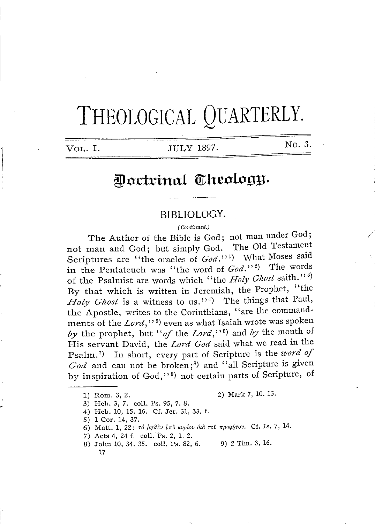# THEOLOGICAL QUARTERLY.

**VOL.** I. JULY 1897.

No. 3.

*/* 

# Doctrinal Theology.

#### **BIBLIOLOGY.**

*( Continued.}* 

The Author of the Bible is God; not man under God; not man and God; but simply God. The Old Testament Scriptures are "the oracles of *God.*"<sup>1</sup>) What Moses said in the Pentateuch was "the word of  $God.^{1/2}$ ) The words of the Psalmist are words which "the *Holy Ghost* saith."<sup>3)</sup> By that which is written in Jeremiah, the Prophet, "the *Holy Ghost* is a witness to us."<sup>4</sup>) The things that Paul, the Apostle, writes to the Corinthians, "are the commandments of the *Lord*,"<sup>5</sup>) even as what Isaiah wrote was spoken by the prophet, but "of the *Lord*,"<sup>6</sup>) and by the mouth of by the prophet, but "of the Lord,"<sup>6</sup>) and by the mouth of His servant David, the *Lord God* said what we read in the Psalm. 7 vant David, the *Lord God* said what we read in the<br>
) In short, every part of Scripture is the *word of* God and can not be broken;<sup>8</sup>) and "all Scripture is given by inspiration of God,"<sup>9</sup>) not certain parts of Scripture, of

1) Rom. 3, 2. 2) Mark 7, 10. 13.

- 3) Heb. 3, 7. coll. Ps. 95, 7. 8.
- 4) Heb. 10, 15. 16. Cf. Jer. 31, 33. f.
- 5) 1 Cor. 14, 37.
- 6) Matt. 1, 22: *r6 Jn1tfev vrru tcvplo» ,5ul rov rrporpf;rov.* Cf. Is. 7, 14.
- 7) Acts 4, 24 f. coll. Ps. 2, 1. 2.
- 8) John 10, 34, 35. coll. Ps. 82, 6. 9) 2 Tim. 3, 16. 17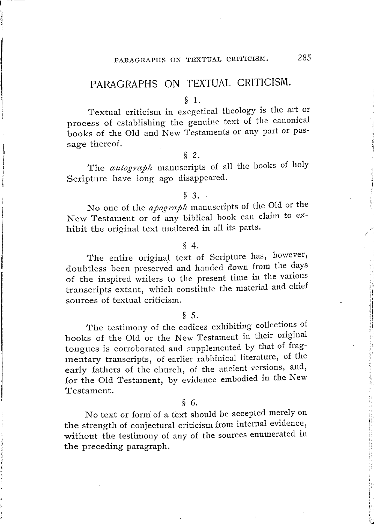## PARAGRAPHS ON TEXTUAL CRITICISM.

#### § 1.

Textual criticism in exegetical theology is the art or process of establishing the genuine text of the canonical books of the Old and New Testaments or any part or passage thereof.

#### § 2.

The *autograph* manuscripts of all the books of holy Scripture have long ago disappeared.

#### § 3.

No one of the *apograph* manuscripts of the Old or the New Testament or of any biblical book can claim to exhibit the original text unaltered in all its parts.

#### § 4.

The entire original text of Scripture has, however, doubtless been preserved and handed down from the days of the inspired writers to the present time in the various transcripts extant, which constitute the material and chief sources of textual criticism.

#### § 5.

The testimony of the codices exhibiting collections of books of the Old or the New Testament in their original tongues is corroborated and supplemented by that of fragmentary transcripts, of earlier rabbinical literature, of the early fathers of the church, of the ancient versions, and, for the Old Testament, by evidence embodied in the New Testament.

#### § 6.

No text or form: of a text should be accepted merely on the strength of conjectural criticism from internal evidence, without the testimony of any of the sources enumerated in the preceding paragraph.

ti ,, ı. r:  $\mathcal{L}_1$ ' (

L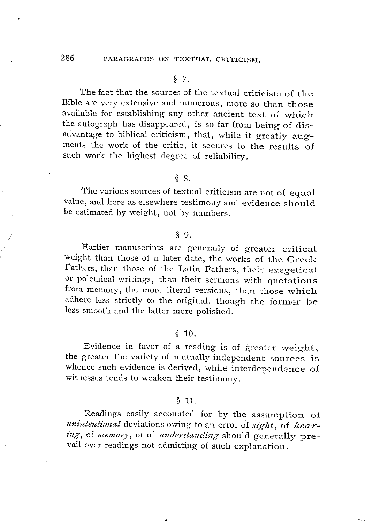### 286 PARAGRAPHS ON TEXTUAL CRITICISM.

#### § 7.

The fact that the sources of the textual criticism of the Bible are very extensive and numerous, more so than those available for establishing any other ancient text of which the autograph has disappeared, is so far from being of disadvantage to biblical criticism, that, while it greatly augments the work of the critic, it secures to the results of such work the highest degree of reliability.

#### § 8.

The various sources of textual criticism are not of equal value, and here as elsewhere testimony and evidence should be estimated by weight, not by numbers.

#### § 9.

Earlier manuscripts are generally of greater critical weight than those of a later date, the works of the Greek Fathers, than those of the Latin Fathers, their exegetical or polemical writings, than their sermons with quotations from memory, the more literal versions, than those which adhere less strictly to the original, though the former be less smooth and the latter more polished.

#### $$10.$

Evidence in favor of a reading is of greater weight, the greater the variety of mutually independent sources is whence such evidence is derived, while interdependence of witnesses tends to weaken their testimony.

#### § 11.

Readings easily accounted for by the assumption of *unintentional* deviations owing to an error of *sight*, of *hear*ing, of memory, or of *understanding* should generally prevail over readings not admitting of such explanation.